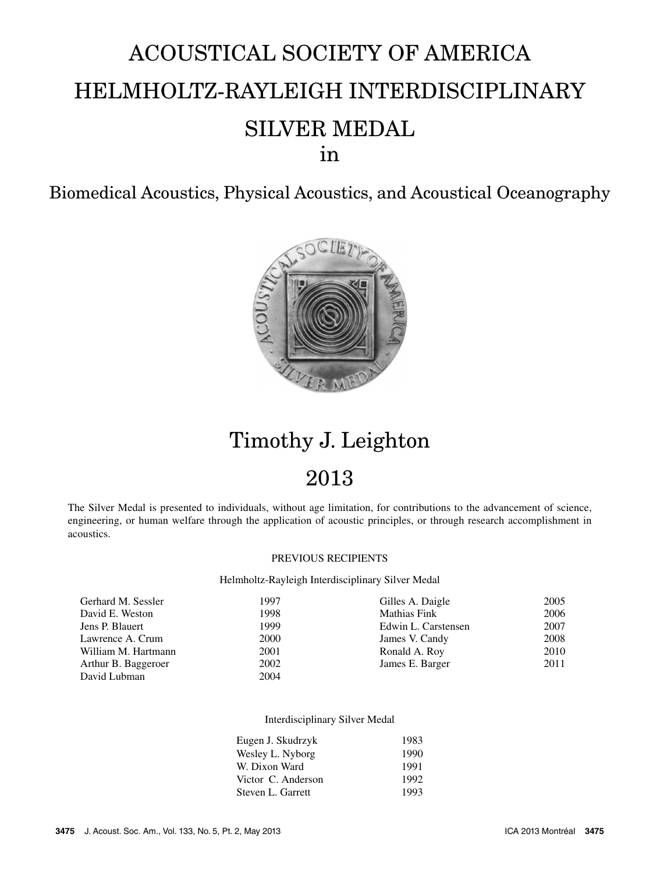# ACOUSTICAL SOCIETY OF AMERICA HELMHOLTZ-RAYLEIGH INTERDISCIPLINARY SILVER MEDAL in

Biomedical Acoustics, Physical Acoustics, and Acoustical Oceanography



## Timothy J. Leighton

### 2013

The Silver Medal is presented to individuals, without age limitation, for contributions to the advancement of science, engineering, or human welfare through the application of acoustic principles, or through research accomplishment in acoustics.

#### PREVIOUS RECIPIENTS

Helmholtz-Rayleigh Interdisciplinary Silver Medal

| Gerhard M. Sessler  | 1997 | Gilles A. Daigle    | 2005 |
|---------------------|------|---------------------|------|
| David E. Weston     | 1998 | <b>Mathias Fink</b> | 2006 |
| Jens P. Blauert     | 1999 | Edwin L. Carstensen | 2007 |
| Lawrence A. Crum    | 2000 | James V. Candy      | 2008 |
| William M. Hartmann | 2001 | Ronald A. Roy       | 2010 |
| Arthur B. Baggeroer | 2002 | James E. Barger     | 2011 |
| David Lubman        | 2004 |                     |      |

#### Interdisciplinary Silver Medal

| Eugen J. Skudrzyk  | 1983 |
|--------------------|------|
| Wesley L. Nyborg   | 1990 |
| W. Dixon Ward      | 1991 |
| Victor C. Anderson | 1992 |
| Steven L. Garrett  | 1993 |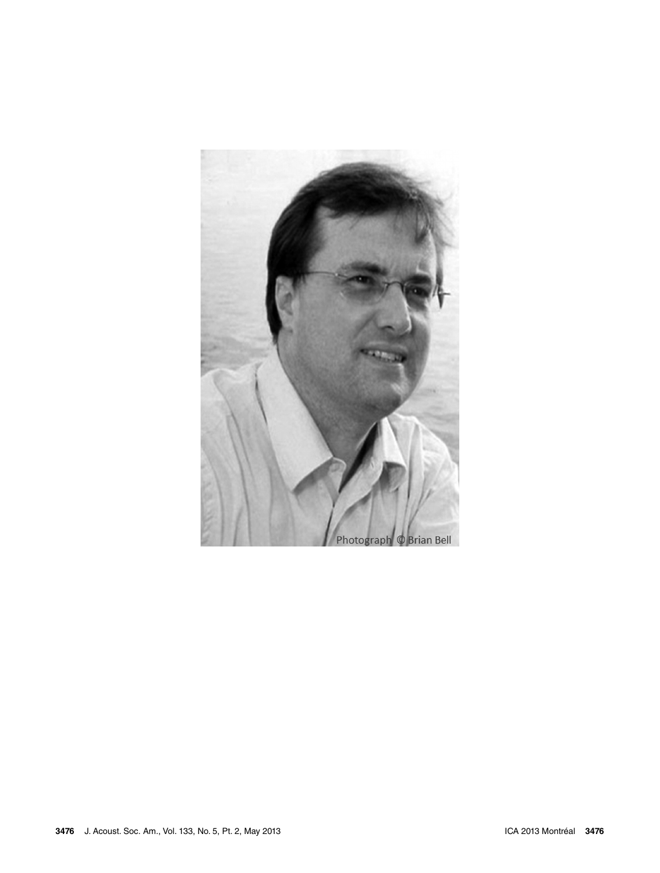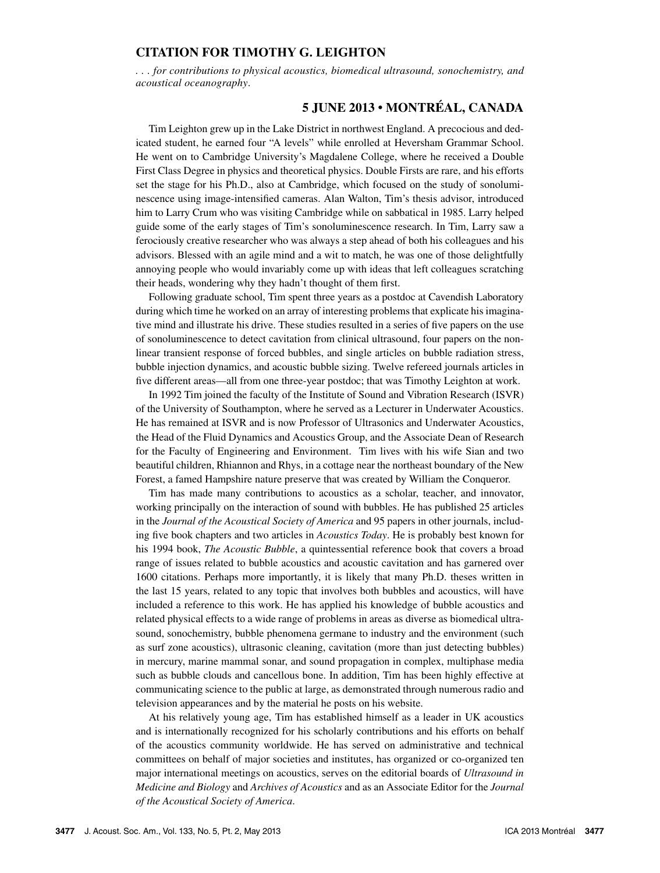#### **CITATION FOR TIMOTHY G. LEIGHTON**

*. . . for contributions to physical acoustics, biomedical ultrasound, sonochemistry, and acoustical oceanography*.

### **5 JUNE 2013 • MONTRÉAL, CANADA**

Tim Leighton grew up in the Lake District in northwest England. A precocious and dedicated student, he earned four "A levels" while enrolled at Heversham Grammar School. He went on to Cambridge University's Magdalene College, where he received a Double First Class Degree in physics and theoretical physics. Double Firsts are rare, and his efforts set the stage for his Ph.D., also at Cambridge, which focused on the study of sonoluminescence using image-intensified cameras. Alan Walton, Tim's thesis advisor, introduced him to Larry Crum who was visiting Cambridge while on sabbatical in 1985. Larry helped guide some of the early stages of Tim's sonoluminescence research. In Tim, Larry saw a ferociously creative researcher who was always a step ahead of both his colleagues and his advisors. Blessed with an agile mind and a wit to match, he was one of those delightfully annoying people who would invariably come up with ideas that left colleagues scratching their heads, wondering why they hadn't thought of them first.

Following graduate school, Tim spent three years as a postdoc at Cavendish Laboratory during which time he worked on an array of interesting problems that explicate his imaginative mind and illustrate his drive. These studies resulted in a series of five papers on the use of sonoluminescence to detect cavitation from clinical ultrasound, four papers on the nonlinear transient response of forced bubbles, and single articles on bubble radiation stress, bubble injection dynamics, and acoustic bubble sizing. Twelve refereed journals articles in five different areas—all from one three-year postdoc; that was Timothy Leighton at work.

In 1992 Tim joined the faculty of the Institute of Sound and Vibration Research (ISVR) of the University of Southampton, where he served as a Lecturer in Underwater Acoustics. He has remained at ISVR and is now Professor of Ultrasonics and Underwater Acoustics, the Head of the Fluid Dynamics and Acoustics Group, and the Associate Dean of Research for the Faculty of Engineering and Environment. Tim lives with his wife Sian and two beautiful children, Rhiannon and Rhys, in a cottage near the northeast boundary of the New Forest, a famed Hampshire nature preserve that was created by William the Conqueror.

Tim has made many contributions to acoustics as a scholar, teacher, and innovator, working principally on the interaction of sound with bubbles. He has published 25 articles in the *Journal of the Acoustical Society of America* and 95 papers in other journals, including five book chapters and two articles in *Acoustics Today*. He is probably best known for his 1994 book, *The Acoustic Bubble*, a quintessential reference book that covers a broad range of issues related to bubble acoustics and acoustic cavitation and has garnered over 1600 citations. Perhaps more importantly, it is likely that many Ph.D. theses written in the last 15 years, related to any topic that involves both bubbles and acoustics, will have included a reference to this work. He has applied his knowledge of bubble acoustics and related physical effects to a wide range of problems in areas as diverse as biomedical ultrasound, sonochemistry, bubble phenomena germane to industry and the environment (such as surf zone acoustics), ultrasonic cleaning, cavitation (more than just detecting bubbles) in mercury, marine mammal sonar, and sound propagation in complex, multiphase media such as bubble clouds and cancellous bone. In addition, Tim has been highly effective at communicating science to the public at large, as demonstrated through numerous radio and television appearances and by the material he posts on his website.

At his relatively young age, Tim has established himself as a leader in UK acoustics and is internationally recognized for his scholarly contributions and his efforts on behalf of the acoustics community worldwide. He has served on administrative and technical committees on behalf of major societies and institutes, has organized or co-organized ten major international meetings on acoustics, serves on the editorial boards of *Ultrasound in Medicine and Biology* and *Archives of Acoustics* and as an Associate Editor for the *Journal of the Acoustical Society of America*.